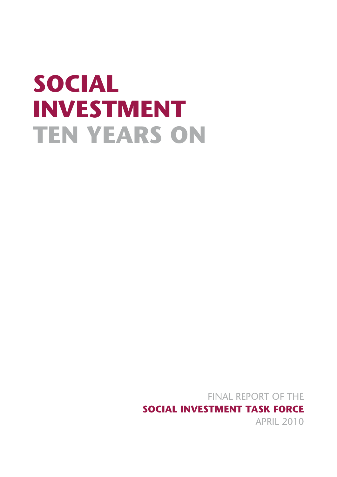# **SOCIAL INVESTMENT TEN YEARS ON**

FINAL REPORT OF THE **SOCIAL INVESTMENT TASK FORCE** APRIL 2010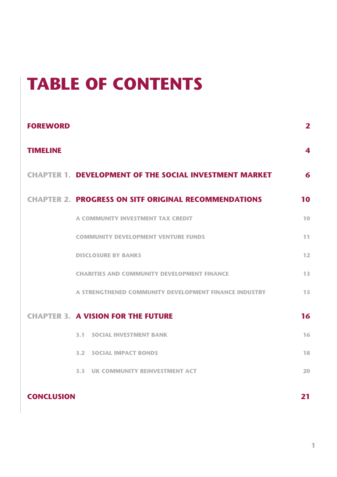# **TABLE OF CONTENTS**

| <b>FOREWORD</b>   |                                                               | $\mathbf{2}$            |
|-------------------|---------------------------------------------------------------|-------------------------|
| <b>TIMELINE</b>   |                                                               | $\overline{\mathbf{4}}$ |
|                   | <b>CHAPTER 1. DEVELOPMENT OF THE SOCIAL INVESTMENT MARKET</b> | 6                       |
|                   | <b>CHAPTER 2. PROGRESS ON SITF ORIGINAL RECOMMENDATIONS</b>   | 10                      |
|                   | A COMMUNITY INVESTMENT TAX CREDIT                             | 10                      |
|                   | <b>COMMUNITY DEVELOPMENT VENTURE FUNDS</b>                    | 11                      |
|                   | <b>DISCLOSURE BY BANKS</b>                                    | 12                      |
|                   | <b>CHARITIES AND COMMUNITY DEVELOPMENT FINANCE</b>            | 13                      |
|                   | A STRENGTHENED COMMUNITY DEVELOPMENT FINANCE INDUSTRY         | 15                      |
|                   | <b>CHAPTER 3. A VISION FOR THE FUTURE</b>                     | 16                      |
|                   | <b>3.1 SOCIAL INVESTMENT BANK</b>                             | 16                      |
|                   | <b>3.2 SOCIAL IMPACT BONDS</b>                                | 18                      |
|                   | <b>3.3 UK COMMUNITY REINVESTMENT ACT</b>                      | 20                      |
| <b>CONCLUSION</b> |                                                               | 21                      |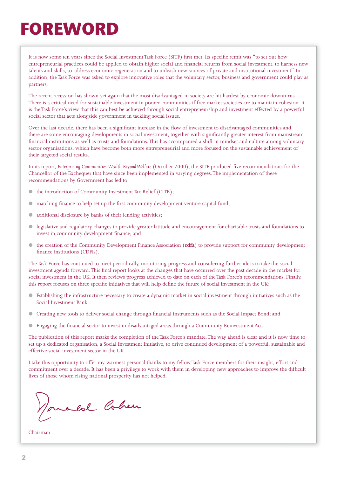# **FOREWORD**

It is now some ten years since the Social Investment Task Force (SITF) first met. Its specific remit was "to set out how entrepreneurial practices could be applied to obtain higher social and financial returns from social investment, to harness new talents and skills, to address economic regeneration and to unleash new sources of private and institutional investment". In addition, the Task Force was asked to explore innovative roles that the voluntary sector, business and government could play as partners.

The recent recession has shown yet again that the most disadvantaged in society are hit hardest by economic downturns. There is a critical need for sustainable investment in poorer communities if free market societies are to maintain cohesion. It is the Task Force's view that this can best be achieved through social entrepreneurship and investment effected by a powerful social sector that acts alongside government in tackling social issues.

Over the last decade, there has been a significant increase in the flow of investment to disadvantaged communities and there are some encouraging developments in social investment, together with significantly greater interest from mainstream financial institutions as well as trusts and foundations. This has accompanied a shift in mindset and culture among voluntary sector organisations, which have become both more entrepreneurial and more focused on the sustainable achievement of their targeted social results.

In its report, *Enterprising Communities: Wealth Beyond Welfare* (October 2000), the SITF produced five recommendations for the Chancellor of the Exchequer that have since been implemented in varying degrees. The implementation of these recommendations by Government has led to:

- the introduction of Community Investment Tax Relief (CITR);
- matching finance to help set up the first community development venture capital fund;
- additional disclosure by banks of their lending activities;
- ! legislative and regulatory changes to provide greater latitude and encouragement for charitable trusts and foundations to invest in community development finance; and
- ! the creation of the Community Development Finance Association (**cdfa**) to provide support for community development finance institutions (CDFIs).

The Task Force has continued to meet periodically, monitoring progress and considering further ideas to take the social investment agenda forward. This final report looks at the changes that have occurred over the past decade in the market for social investment in the UK. It then reviews progress achieved to date on each of the Task Force's recommendations. Finally, this report focuses on three specific initiatives that will help define the future of social investment in the UK:

- ! Establishing the infrastructure necessary to create a dynamic market in social investment through initiatives such as the Social Investment Bank;
- $\bullet$  Creating new tools to deliver social change through financial instruments such as the Social Impact Bond; and
- Engaging the financial sector to invest in disadvantaged areas through a Community Reinvestment Act.

The publication of this report marks the completion of the Task Force's mandate. The way ahead is clear and it is now time to set up a dedicated organisation, a Social Investment Initiative, to drive continued development of a powerful, sustainable and effective social investment sector in the UK.

I take this opportunity to offer my warmest personal thanks to my fellow Task Force members for their insight, effort and commitment over a decade. It has been a privilege to work with them in developing new approaches to improve the difficult lives of those whom rising national prosperity has not helped.

onald Cohen

Chairman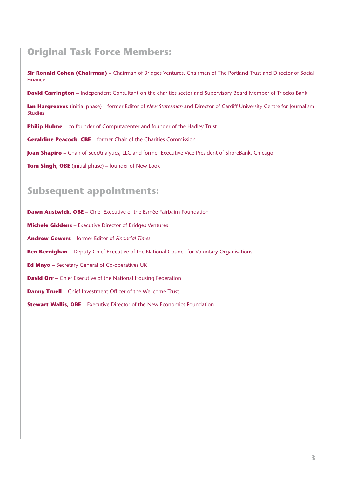## **Original Task Force Members:**

**Sir Ronald Cohen (Chairman) –** Chairman of Bridges Ventures, Chairman of The Portland Trust and Director of Social Finance

**David Carrington –** Independent Consultant on the charities sector and Supervisory Board Member of Triodos Bank

**Ian Hargreaves** (initial phase) – former Editor of *New Statesman* and Director of Cardiff University Centre for Journalism **Studies** 

**Philip Hulme –** co-founder of Computacenter and founder of the Hadley Trust

**Geraldine Peacock, CBE –** former Chair of the Charities Commission

**Joan Shapiro** – Chair of SeerAnalytics, LLC and former Executive Vice President of ShoreBank, Chicago

**Tom Singh, OBE** (initial phase) – founder of New Look

### **Subsequent appointments:**

**Dawn Austwick, OBE** – Chief Executive of the Esmée Fairbairn Foundation **Michele Giddens** – Executive Director of Bridges Ventures **Andrew Gowers –** former Editor of *Financial Times* **Ben Kernighan** – Deputy Chief Executive of the National Council for Voluntary Organisations **Ed Mayo –** Secretary General of Co-operatives UK **David Orr -** Chief Executive of the National Housing Federation **Danny Truell - Chief Investment Officer of the Wellcome Trust** 

**Stewart Wallis, OBE –** Executive Director of the New Economics Foundation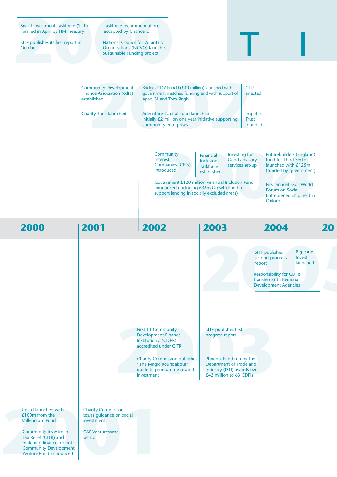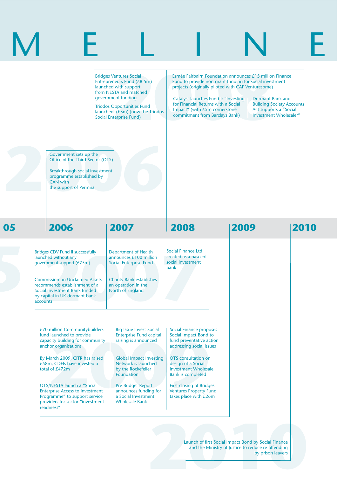|          |                                                                                                                                                                                                                                          | <b>Bridges Ventures Social</b><br>Entrepreneurs Fund (£8.5m)<br>launched with support<br>from NESTA and matched<br>government funding<br><b>Triodos Opportunities Fund</b><br>launched $(£3m)$ (now the Triodos<br><b>Social Enterprise Fund)</b> | projects (originally piloted with CAF Venturesome)<br><b>Catalyst launches Fund I: "Investing</b><br>for Financial Returns with a Social<br>Impact" (with £5m cornerstone<br>commitment from Barclays Bank) | Esmée Fairbairn Foundation announces £15 million Finance<br>Fund to provide non-grant funding for social investment<br>Dormant Bank and<br><b>Building Society Accounts</b><br>Act supports a "Social<br>Investment Wholesaler" |      |
|----------|------------------------------------------------------------------------------------------------------------------------------------------------------------------------------------------------------------------------------------------|---------------------------------------------------------------------------------------------------------------------------------------------------------------------------------------------------------------------------------------------------|-------------------------------------------------------------------------------------------------------------------------------------------------------------------------------------------------------------|---------------------------------------------------------------------------------------------------------------------------------------------------------------------------------------------------------------------------------|------|
|          | Government sets up the<br>Office of the Third Sector (OTS)<br>Breakthrough social investment<br>programme established by<br><b>CAN</b> with<br>the support of Permira                                                                    |                                                                                                                                                                                                                                                   |                                                                                                                                                                                                             |                                                                                                                                                                                                                                 |      |
| 05       | 2006                                                                                                                                                                                                                                     | 2007                                                                                                                                                                                                                                              | 2008                                                                                                                                                                                                        | 2009                                                                                                                                                                                                                            | 2010 |
| accounts | <b>Bridges CDV Fund II successfully</b><br>launched without any<br>government support (£75m)<br><b>Commission on Unclaimed Assets</b><br>recommends establishment of a<br>Social Investment Bank funded<br>by capital in UK dormant bank | <b>Department of Health</b><br>announces £100 million<br><b>Social Enterprise Fund</b><br><b>Charity Bank establishes</b><br>an operation in the<br>North of England                                                                              | <b>Social Finance Ltd</b><br>created as a nascent<br>social investment<br>bank                                                                                                                              |                                                                                                                                                                                                                                 |      |
|          | £70 million Communitybuilders<br>fund launched to provide<br>capacity building for community<br>anchor organisations                                                                                                                     | <b>Big Issue Invest Social</b><br><b>Enterprise Fund capital</b><br>raising is announced                                                                                                                                                          | <b>Social Finance proposes</b><br>Social Impact Bond to<br>fund preventative action<br>addressing social issues                                                                                             |                                                                                                                                                                                                                                 |      |
|          | By March 2009, CITR has raised<br>£58m, CDFIs have invested a<br>total of £472m                                                                                                                                                          | <b>Global Impact Investing</b><br>Network is launched<br>by the Rockefeller<br>Foundation                                                                                                                                                         | OTS consultation on<br>design of a Social<br><b>Investment Wholesale</b><br><b>Bank is completed</b>                                                                                                        |                                                                                                                                                                                                                                 |      |
|          | OTS/NESTA launch a "Social<br><b>Enterprise Access to Investment</b><br>Programme" to support service<br>providers for sector "investment<br>readiness"                                                                                  | <b>Pre-Budget Report</b><br>announces funding for<br>a Social Investment<br><b>Wholesale Bank</b>                                                                                                                                                 | <b>First closing of Bridges</b><br><b>Ventures Property Fund</b><br>takes place with £26m                                                                                                                   |                                                                                                                                                                                                                                 |      |
|          |                                                                                                                                                                                                                                          |                                                                                                                                                                                                                                                   |                                                                                                                                                                                                             | Launch of first Social Impact Bond by Social Finance<br>and the Ministry of Justice to reduce re-offending<br>by prison leavers                                                                                                 |      |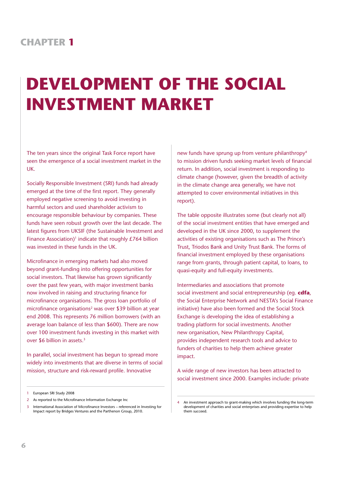# **DEVELOPMENT OF THE SOCIAL INVESTMENT MARKET**

The ten years since the original Task Force report have seen the emergence of a social investment market in the UK.

Socially Responsible Investment (SRI) funds had already emerged at the time of the first report. They generally employed negative screening to avoid investing in harmful sectors and used shareholder activism to encourage responsible behaviour by companies. These funds have seen robust growth over the last decade. The latest figures from UKSIF (the Sustainable Investment and Finance Association)<sup>1</sup> indicate that roughly  $£764$  billion was invested in these funds in the UK.

Microfinance in emerging markets had also moved beyond grant-funding into offering opportunities for social investors. That likewise has grown significantly over the past few years, with major investment banks now involved in raising and structuring finance for microfinance organisations. The gross loan portfolio of microfinance organisations<sup>2</sup> was over \$39 billion at year end 2008. This represents 76 million borrowers (with an average loan balance of less than \$600). There are now over 100 investment funds investing in this market with over \$6 billion in assets.3

In parallel, social investment has begun to spread more widely into investments that are diverse in terms of social mission, structure and risk-reward profile. Innovative

new funds have sprung up from venture philanthropy<sup>4</sup> to mission driven funds seeking market levels of financial return. In addition, social investment is responding to climate change (however, given the breadth of activity in the climate change area generally, we have not attempted to cover environmental initiatives in this report).

The table opposite illustrates some (but clearly not all) of the social investment entities that have emerged and developed in the UK since 2000, to supplement the activities of existing organisations such as The Prince's Trust, Triodos Bank and Unity Trust Bank. The forms of financial investment employed by these organisations range from grants, through patient capital, to loans, to quasi-equity and full-equity investments.

Intermediaries and associations that promote social investment and social entrepreneurship (eg. **cdfa**, the Social Enterprise Network and NESTA's Social Finance initiative) have also been formed and the Social Stock Exchange is developing the idea of establishing a trading platform for social investments. Another new organisation, New Philanthropy Capital, provides independent research tools and advice to funders of charities to help them achieve greater impact.

A wide range of new investors has been attracted to social investment since 2000. Examples include: private

<sup>1</sup> European SRI Study 2008

<sup>2</sup> As reported to the Microfinance Information Exchange Inc

<sup>3</sup> International Association of Microfinance Investors – referenced in Investing for Impact report by Bridges Ventures and the Parthenon Group, 2010.

<sup>4</sup> An investment approach to grant-making which involves funding the long-term development of charities and social enterprises and providing expertise to help them succeed.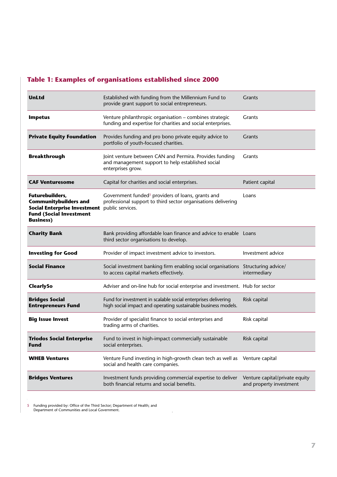#### **Table 1: Examples of organisations established since 2000**

| UnLtd                                                                                                                                        | Established with funding from the Millennium Fund to<br>provide grant support to social entrepreneurs.                                             | Grants                                                    |
|----------------------------------------------------------------------------------------------------------------------------------------------|----------------------------------------------------------------------------------------------------------------------------------------------------|-----------------------------------------------------------|
| <b>Impetus</b>                                                                                                                               | Venture philanthropic organisation - combines strategic<br>funding and expertise for charities and social enterprises.                             | Grants                                                    |
| <b>Private Equity Foundation</b>                                                                                                             | Provides funding and pro bono private equity advice to<br>portfolio of youth-focused charities.                                                    | <b>Grants</b>                                             |
| <b>Breakthrough</b>                                                                                                                          | Joint venture between CAN and Permira. Provides funding<br>and management support to help established social<br>enterprises grow.                  | Grants                                                    |
| <b>CAF Venturesome</b>                                                                                                                       | Capital for charities and social enterprises.                                                                                                      | Patient capital                                           |
| Futurebuilders,<br><b>Communitybuilders and</b><br><b>Social Enterprise Investment</b><br><b>Fund (Social Investment</b><br><b>Business)</b> | Government funded <sup>5</sup> providers of loans, grants and<br>professional support to third sector organisations delivering<br>public services. | Loans                                                     |
| <b>Charity Bank</b>                                                                                                                          | Bank providing affordable loan finance and advice to enable Loans<br>third sector organisations to develop.                                        |                                                           |
| <b>Investing for Good</b>                                                                                                                    | Provider of impact investment advice to investors.                                                                                                 | Investment advice                                         |
| <b>Social Finance</b>                                                                                                                        | Social investment banking firm enabling social organisations Structuring advice/<br>to access capital markets effectively.                         | intermediary                                              |
| ClearlySo                                                                                                                                    | Adviser and on-line hub for social enterprise and investment. Hub for sector                                                                       |                                                           |
| <b>Bridges Social</b><br><b>Entrepreneurs Fund</b>                                                                                           | Fund for investment in scalable social enterprises delivering<br>high social impact and operating sustainable business models.                     | Risk capital                                              |
| <b>Big Issue Invest</b>                                                                                                                      | Provider of specialist finance to social enterprises and<br>trading arms of charities.                                                             | Risk capital                                              |
| <b>Triodos Social Enterprise</b><br>Fund                                                                                                     | Fund to invest in high-impact commercially sustainable<br>social enterprises.                                                                      | Risk capital                                              |
| <b>WHEB Ventures</b>                                                                                                                         | Venture Fund investing in high-growth clean tech as well as Venture capital<br>social and health care companies.                                   |                                                           |
| <b>Bridges Ventures</b>                                                                                                                      | Investment funds providing commercial expertise to deliver<br>both financial returns and social benefits.                                          | Venture capital/private equity<br>and property investment |

5 Funding provided by: Office of the Third Sector; Department of Health; and Department of Communities and Local Government.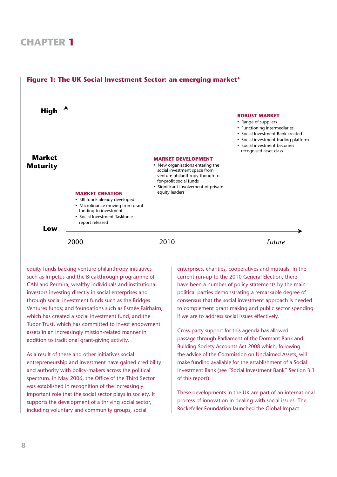

## **UK Social Investment Sector: An emerging market Figure 1: The UK Social Investment Sector: an emerging market\***

equity funds backing venture philanthropy initiatives such as Impetus and the Breakthrough programme of CAN and Permira; wealthy individuals and institutional investors investing directly in social enterprises and through social investment funds such as the Bridges Ventures funds; and foundations such as Esmée Fairbairn, which has created a social investment fund, and the Tudor Trust, which has committed to invest endowment assets in an increasingly mission-related manner in addition to traditional grant-giving activity.

As a result of these and other initiatives social entrepreneurship and investment have gained credibility and authority with policy-makers across the political spectrum. In May 2006, the Office of the Third Sector was established in recognition of the increasingly important role that the social sector plays in society. It supports the development of a thriving social sector, including voluntary and community groups, social

enterprises, charities, cooperatives and mutuals. In the current run-up to the 2010 General Election, there have been a number of policy statements by the main political parties demonstrating a remarkable degree of consensus that the social investment approach is needed to complement grant making and public sector spending if we are to address social issues effectively.

Cross-party support for this agenda has allowed passage through Parliament of the Dormant Bank and Building Society Accounts Act 2008 which, following the advice of the Commission on Unclaimed Assets, will make funding available for the establishment of a Social Investment Bank (see "Social Investment Bank" Section 3.1 of this report).

These developments in the UK are part of an international process of innovation in dealing with social issues. The Rockefeller Foundation launched the Global Impact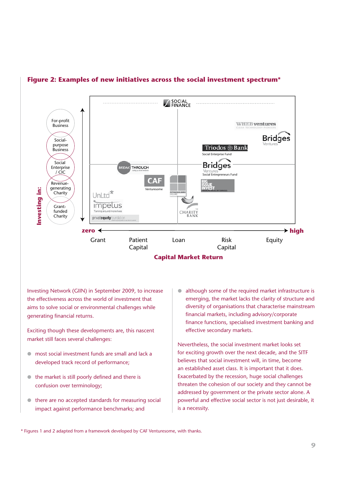

#### **Figure 2: Examples of new initiatives across the social investment spectrum\***

Investing Network (GIIN) in September 2009, to increase the effectiveness across the world of investment that aims to solve social or environmental challenges while generating financial returns.

Exciting though these developments are, this nascent market still faces several challenges:

- $\bullet$  most social investment funds are small and lack a developed track record of performance;
- $\bullet$  the market is still poorly defined and there is confusion over terminology;
- $\bullet$  there are no accepted standards for measuring social impact against performance benchmarks; and

• although some of the required market infrastructure is emerging, the market lacks the clarity of structure and diversity of organisations that characterise mainstream financial markets, including advisory/corporate finance functions, specialised investment banking and effective secondary markets.

Nevertheless, the social investment market looks set for exciting growth over the next decade, and the SITF believes that social investment will, in time, become an established asset class. It is important that it does. Exacerbated by the recession, huge social challenges threaten the cohesion of our society and they cannot be addressed by government or the private sector alone. A powerful and effective social sector is not just desirable, it is a necessity.

\* Figures 1 and 2 adapted from a framework developed by CAF Venturesome, with thanks.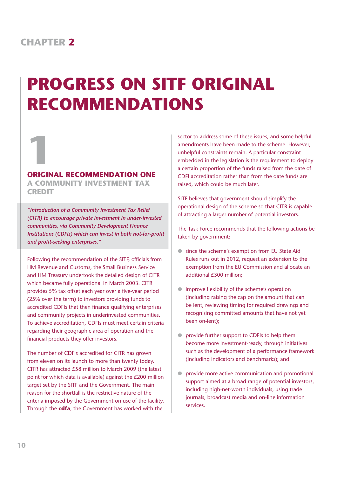# **PROGRESS ON SITF ORIGINAL RECOMMENDATIONS**

# **1 ORIGINAL RECOMMENDATION ONE**

**A COMMUNITY INVESTMENT TAX CREDIT**

*"Introduction of a Community Investment Tax Relief (CITR) to encourage private investment in under-invested communities, via Community Development Finance Institutions (CDFIs) which can invest in both not-for-profit and profit-seeking enterprises."* 

Following the recommendation of the SITF, officials from HM Revenue and Customs, the Small Business Service and HM Treasury undertook the detailed design of CITR which became fully operational in March 2003. CITR provides 5% tax offset each year over a five-year period (25% over the term) to investors providing funds to accredited CDFIs that then finance qualifying enterprises and community projects in underinvested communities. To achieve accreditation, CDFIs must meet certain criteria regarding their geographic area of operation and the financial products they offer investors.

The number of CDFIs accredited for CITR has grown from eleven on its launch to more than twenty today. CITR has attracted £58 million to March 2009 (the latest point for which data is available) against the £200 million target set by the SITF and the Government. The main reason for the shortfall is the restrictive nature of the criteria imposed by the Government on use of the facility. Through the **cdfa**, the Government has worked with the

sector to address some of these issues, and some helpful amendments have been made to the scheme. However, unhelpful constraints remain. A particular constraint embedded in the legislation is the requirement to deploy a certain proportion of the funds raised from the date of CDFI accreditation rather than from the date funds are raised, which could be much later.

SITF believes that government should simplify the operational design of the scheme so that CITR is capable of attracting a larger number of potential investors.

The Task Force recommends that the following actions be taken by government:

- **.** since the scheme's exemption from EU State Aid Rules runs out in 2012, request an extension to the exemption from the EU Commission and allocate an additional £300 million;
- $\bullet$  improve flexibility of the scheme's operation (including raising the cap on the amount that can be lent, reviewing timing for required drawings and recognising committed amounts that have not yet been on-lent);
- ! provide further support to CDFIs to help them become more investment-ready, through initiatives such as the development of a performance framework (including indicators and benchmarks); and
- ! provide more active communication and promotional support aimed at a broad range of potential investors, including high-net-worth individuals, using trade journals, broadcast media and on-line information services.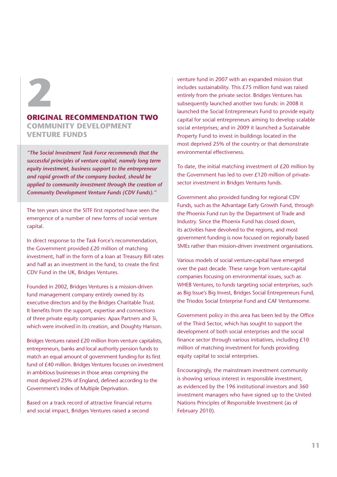

#### **ORIGINAL RECOMMENDATION TWO**

**COMMUNITY DEVELOPMENT VENTURE FUNDS**

*"The Social Investment Task Force recommends that the successful principles of venture capital, namely long term equity investment, business support to the entrepreneur and rapid growth of the company backed, should be applied to community investment through the creation of Community Development Venture Funds (CDV Funds)."*

The ten years since the SITF first reported have seen the emergence of a number of new forms of social venture capital.

In direct response to the Task Force's recommendation, the Government provided £20 million of matching investment, half in the form of a loan at Treasury Bill rates and half as an investment in the fund, to create the first CDV Fund in the UK, Bridges Ventures.

Founded in 2002, Bridges Ventures is a mission-driven fund management company entirely owned by its executive directors and by the Bridges Charitable Trust. It benefits from the support, expertise and connections of three private equity companies: Apax Partners and 3i, which were involved in its creation, and Doughty Hanson.

Bridges Ventures raised £20 million from venture capitalists, entrepreneurs, banks and local authority pension funds to match an equal amount of government funding for its first fund of £40 million. Bridges Ventures focuses on investment in ambitious businesses in those areas comprising the most deprived 25% of England, defined according to the Government's Index of Multiple Deprivation.

Based on a track record of attractive financial returns and social impact, Bridges Ventures raised a second

venture fund in 2007 with an expanded mission that includes sustainability. This £75 million fund was raised entirely from the private sector. Bridges Ventures has subsequently launched another two funds: in 2008 it launched the Social Entrepreneurs Fund to provide equity capital for social entrepreneurs aiming to develop scalable social enterprises; and in 2009 it launched a Sustainable Property Fund to invest in buildings located in the most deprived 25% of the country or that demonstrate environmental effectiveness.

To date, the initial matching investment of £20 million by the Government has led to over £120 million of privatesector investment in Bridges Ventures funds.

Government also provided funding for regional CDV Funds, such as the Advantage Early Growth Fund, through the Phoenix Fund run by the Department of Trade and Industry. Since the Phoenix Fund has closed down, its activities have devolved to the regions, and most government funding is now focused on regionally based SMEs rather than mission-driven investment organisations.

Various models of social venture-capital have emerged over the past decade. These range from venture-capital companies focusing on environmental issues, such as WHEB Ventures, to funds targeting social enterprises, such as Big Issue's Big Invest, Bridges Social Entrepreneurs Fund, the Triodos Social Enterprise Fund and CAF Venturesome.

Government policy in this area has been led by the Office of the Third Sector, which has sought to support the development of both social enterprises and the social finance sector through various initiatives, including  $£10$ million of matching investment for funds providing equity capital to social enterprises.

Encouragingly, the mainstream investment community is showing serious interest in responsible investment, as evidenced by the 196 institutional investors and 360 investment managers who have signed up to the United Nations Principles of Responsible Investment (as of February 2010).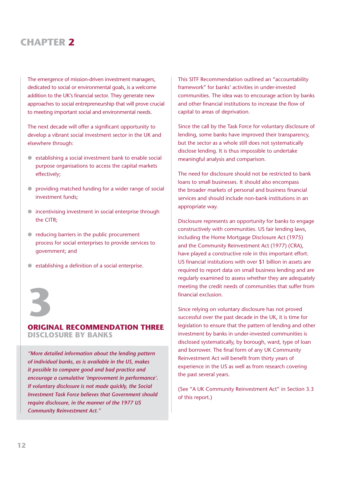The emergence of mission-driven investment managers, dedicated to social or environmental goals, is a welcome addition to the UK's financial sector. They generate new approaches to social entrepreneurship that will prove crucial to meeting important social and environmental needs.

The next decade will offer a significant opportunity to develop a vibrant social investment sector in the UK and elsewhere through:

- $\bullet$  establishing a social investment bank to enable social purpose organisations to access the capital markets effectively;
- ! providing matched funding for a wider range of social investment funds;
- $\bullet$  incentivising investment in social enterprise through the CITR;
- reducing barriers in the public procurement process for social enterprises to provide services to government; and
- $\bullet$  establishing a definition of a social enterprise.



#### **ORIGINAL RECOMMENDATION THREE**

**DISCLOSURE BY BANKS**

*"More detailed information about the lending pattern of individual banks, as is available in the US, makes it possible to compare good and bad practice and encourage a cumulative 'improvement in performance'. If voluntary disclosure is not made quickly, the Social Investment Task Force believes that Government should require disclosure, in the manner of the 1977 US Community Reinvestment Act."* 

This SITF Recommendation outlined an "accountability framework" for banks' activities in under-invested communities. The idea was to encourage action by banks and other financial institutions to increase the flow of capital to areas of deprivation.

Since the call by the Task Force for voluntary disclosure of lending, some banks have improved their transparency, but the sector as a whole still does not systematically disclose lending. It is thus impossible to undertake meaningful analysis and comparison.

The need for disclosure should not be restricted to bank loans to small businesses. It should also encompass the broader markets of personal and business financial services and should include non-bank institutions in an appropriate way.

Disclosure represents an opportunity for banks to engage constructively with communities. US fair lending laws, including the Home Mortgage Disclosure Act (1975) and the Community Reinvestment Act (1977) (CRA), have played a constructive role in this important effort. US financial institutions with over \$1 billion in assets are required to report data on small business lending and are regularly examined to assess whether they are adequately meeting the credit needs of communities that suffer from financial exclusion.

Since relying on voluntary disclosure has not proved successful over the past decade in the UK, it is time for legislation to ensure that the pattern of lending and other investment by banks in under-invested communities is disclosed systematically, by borough, ward, type of loan and borrower. The final form of any UK Community Reinvestment Act will benefit from thirty years of experience in the US as well as from research covering the past several years.

(See "A UK Community Reinvestment Act" in Section 3.3 of this report.)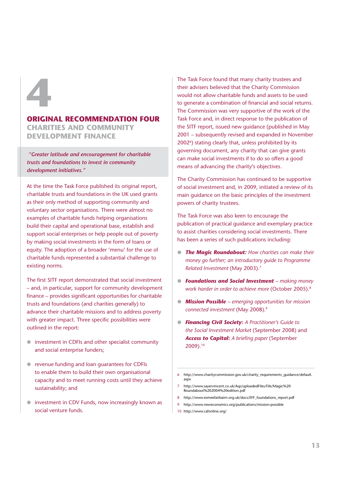# **4**

#### **ORIGINAL RECOMMENDATION FOUR**

**CHARITIES AND COMMUNITY DEVELOPMENT FINANCE**

 *"Greater latitude and encouragement for charitable trusts and foundations to invest in community development initiatives."*

At the time the Task Force published its original report, charitable trusts and foundations in the UK used grants as their only method of supporting community and voluntary sector organisations. There were almost no examples of charitable funds helping organisations build their capital and operational base, establish and support social enterprises or help people out of poverty by making social investments in the form of loans or equity. The adoption of a broader 'menu' for the use of charitable funds represented a substantial challenge to existing norms.

The first SITF report demonstrated that social investment – and, in particular, support for community development finance – provides significant opportunities for charitable trusts and foundations (and charities generally) to advance their charitable missions and to address poverty with greater impact. Three specific possibilities were outlined in the report:

- ! investment in CDFIs and other specialist community and social enterprise funders;
- ! revenue funding and loan guarantees for CDFIs to enable them to build their own organisational capacity and to meet running costs until they achieve sustainability; and
- ! investment in CDV Funds, now increasingly known as social venture funds.

The Task Force found that many charity trustees and their advisers believed that the Charity Commission would not allow charitable funds and assets to be used to generate a combination of financial and social returns. The Commission was very supportive of the work of the Task Force and, in direct response to the publication of the SITF report, issued new guidance (published in May 2001 – subsequently revised and expanded in November 2002<sup>6</sup>) stating clearly that, unless prohibited by its governing document, any charity that can give grants can make social investments if to do so offers a good means of advancing the charity's objectives.

The Charity Commission has continued to be supportive of social investment and, in 2009, initiated a review of its main guidance on the basic principles of the investment powers of charity trustees.

The Task Force was also keen to encourage the publication of practical guidance and exemplary practice to assist charities considering social investments. There has been a series of such publications including:

- ! *The Magic Roundabout: How charities can make their money go further; an introductory guide to Programme Related Investment* (May 2003).7
- ! *Foundations and Social Investment making money work harder in order to achieve more* (October 2005).8
- ! *Mission Possible emerging opportunities for mission connected investment* (May 2008).9
- ! *Financing Civil Society: A Practitioner's Guide to the Social Investment Market* (September 2008) and **Access to Capital:** A briefing paper (September 2009).10

- 7 http://www.sayervincent.co.uk/Asp/uploadedFiles/File/Magic%20 Roundabout%202004%20edition.pdf
- 8 http://www.esmeefairbairn.org.uk/docs/EFF\_foundations\_report.pdf
- 9 http://www.neweconomics.org/publications/mission-possible
- 10 http://www.cafonline.org/

<sup>6</sup> http://www.charitycommission.gov.uk/charity\_requirements\_guidance/default. aspx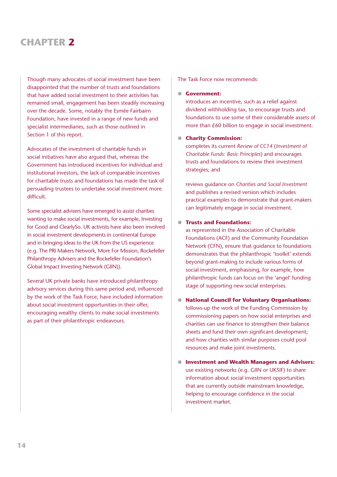Though many advocates of social investment have been disappointed that the number of trusts and foundations that have added social investment to their activities has remained small, engagement has been steadily increasing over the decade. Some, notably the Esmée Fairbairn Foundation, have invested in a range of new funds and specialist intermediaries, such as those outlined in Section 1 of this report.

Advocates of the investment of charitable funds in social initiatives have also argued that, whereas the Government has introduced incentives for individual and institutional investors, the lack of comparable incentives for charitable trusts and foundations has made the task of persuading trustees to undertake social investment more difficult.

Some specialist advisers have emerged to assist charities wanting to make social investments, for example, Investing for Good and ClearlySo. UK activists have also been involved in social investment developments in continental Europe and in bringing ideas to the UK from the US experience (e.g. The PRI Makers Network, More For Mission, Rockefeller Philanthropy Advisers and the Rockefeller Foundation's Global Impact Investing Network (GIIN)).

Several UK private banks have introduced philanthropy advisory services during this same period and, influenced by the work of the Task Force, have included information about social investment opportunities in their offer, encouraging wealthy clients to make social investments as part of their philanthropic endeavours.

The Task Force now recommends:

#### ! **Government:**

introduces an incentive, such as a relief against dividend withholding tax, to encourage trusts and foundations to use some of their considerable assets of more than £60 billion to engage in social investment.

#### ! **Charity Commission:**

completes its current *Review of CC14* (*Investment of Charitable Funds: Basic Principles*) and encourages trusts and foundations to review their investment strategies; and

reviews guidance on *Charities and Social Investment*  and publishes a revised version which includes practical examples to demonstrate that grant-makers can legitimately engage in social investment.

#### ! **Trusts and Foundations:**

as represented in the Association of Charitable Foundations (ACF) and the Community Foundation Network (CFN), ensure that guidance to foundations demonstrates that the philanthropic 'toolkit' extends beyond grant-making to include various forms of social investment, emphasising, for example, how philanthropic funds can focus on the 'angel' funding stage of supporting new social enterprises.

- ! **National Council for Voluntary Organisations:** follows-up the work of the Funding Commission by commissioning papers on how social enterprises and charities can use finance to strengthen their balance sheets and fund their own significant development; and how charities with similar purposes could pool resources and make joint investments.
- ! **Investment and Wealth Managers and Advisers:** use existing networks (e.g. GIIN or UKSIF) to share information about social investment opportunities that are currently outside mainstream knowledge, helping to encourage confidence in the social investment market.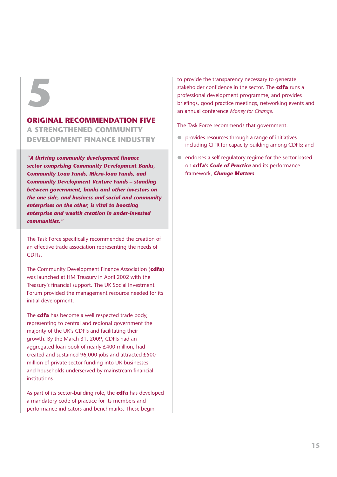# **5**

#### **ORIGINAL RECOMMENDATION FIVE**

**A STRENGTHENED COMMUNITY DEVELOPMENT FINANCE INDUSTRY**

*"A thriving community development fi nance sector comprising Community Development Banks, Community Loan Funds, Micro-loan Funds, and Community Development Venture Funds – standing between government, banks and other investors on the one side, and business and social and community enterprises on the other, is vital to boosting enterprise and wealth creation in under-invested communities."*

The Task Force specifically recommended the creation of an effective trade association representing the needs of CDFIs.

The Community Development Finance Association (**cdfa**) was launched at HM Treasury in April 2002 with the Treasury's financial support. The UK Social Investment Forum provided the management resource needed for its initial development.

The **cdfa** has become a well respected trade body, representing to central and regional government the majority of the UK's CDFIs and facilitating their growth. By the March 31, 2009, CDFIs had an aggregated loan book of nearly £400 million, had created and sustained 96,000 jobs and attracted £500 million of private sector funding into UK businesses and households underserved by mainstream financial institutions

As part of its sector-building role, the **cdfa** has developed a mandatory code of practice for its members and performance indicators and benchmarks. These begin

to provide the transparency necessary to generate stakeholder confidence in the sector. The **cdfa** runs a professional development programme, and provides briefings, good practice meetings, networking events and an annual conference *Money for Change*.

The Task Force recommends that government:

- ! provides resources through a range of initiatives including CITR for capacity building among CDFIs; and
- ! endorses a self regulatory regime for the sector based on **cdfa**'s *Code of Practice* and its performance framework, *Change Matters*.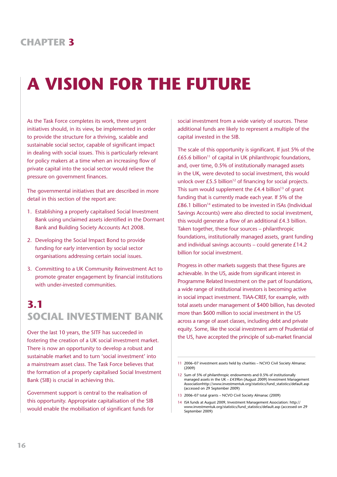# **A VISION FOR THE FUTURE**

As the Task Force completes its work, three urgent initiatives should, in its view, be implemented in order to provide the structure for a thriving, scalable and sustainable social sector, capable of significant impact in dealing with social issues. This is particularly relevant for policy makers at a time when an increasing flow of private capital into the social sector would relieve the pressure on government finances.

The governmental initiatives that are described in more detail in this section of the report are:

- 1. Establishing a properly capitalised Social Investment Bank using unclaimed assets identified in the Dormant Bank and Building Society Accounts Act 2008.
- 2. Developing the Social Impact Bond to provide funding for early intervention by social sector organisations addressing certain social issues.
- 3. Committing to a UK Community Reinvestment Act to promote greater engagement by financial institutions with under-invested communities.

# **3.1 SOCIAL INVESTMENT BANK**

Over the last 10 years, the SITF has succeeded in fostering the creation of a UK social investment market. There is now an opportunity to develop a robust and sustainable market and to turn 'social investment' into a mainstream asset class. The Task Force believes that the formation of a properly capitalised Social Investment Bank (SIB) is crucial in achieving this.

Government support is central to the realisation of this opportunity. Appropriate capitalisation of the SIB would enable the mobilisation of significant funds for social investment from a wide variety of sources. These additional funds are likely to represent a multiple of the capital invested in the SIB.

The scale of this opportunity is significant. If just 5% of the  $£65.6$  billion<sup>11</sup> of capital in UK philanthropic foundations, and, over time, 0.5% of institutionally managed assets in the UK, were devoted to social investment, this would unlock over £5.5 billion<sup>12</sup> of financing for social projects. This sum would supplement the  $E4.4$  billion<sup>13</sup> of grant funding that is currently made each year. If 5% of the  $£86.1$  billion<sup>14</sup> estimated to be invested in ISAs (Individual Savings Accounts) were also directed to social investment, this would generate a flow of an additional £4.3 billion. Taken together, these four sources – philanthropic foundations, institutionally managed assets, grant funding and individual savings accounts – could generate £14.2 billion for social investment.

Progress in other markets suggests that these figures are achievable. In the US, aside from significant interest in Programme Related Investment on the part of foundations, a wide range of institutional investors is becoming active in social impact investment. TIAA-CREF, for example, with total assets under management of \$400 billion, has devoted more than \$600 million to social investment in the US across a range of asset classes, including debt and private equity. Some, like the social investment arm of Prudential of the US, have accepted the principle of sub-market financial

13 2006–07 total grants – NCVO Civil Society Almanac (2009)

<sup>11</sup> 2006–07 investment assets held by charities – NCVO Civil Society Almanac (2009)

<sup>12</sup> Sum of 5% of philanthropic endowments and 0.5% of institutionally managed assets in the UK – £439bn (August 2009) Investment Management Associatio[nhttp://www.investmentuk.org/statistics/fund\\_statistics/default.asp](http://www.investmentuk.org/statistics/fund_statistics/default.asp) (accessed on 29 September 2009)

<sup>14</sup> ISA funds at August 2009, Investment Management Association: [http://](http://www.investmentuk.org/statistics/fund_statistics/default.asp) [www.investmentuk.org/statistics/fund\\_statistics/default.asp](http://www.investmentuk.org/statistics/fund_statistics/default.asp) (accessed on 29 September 2009)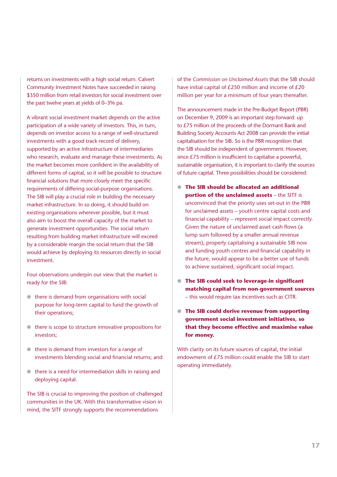returns on investments with a high social return. Calvert Community Investment Notes have succeeded in raising \$350 million from retail investors for social investment over the past twelve years at yields of 0–3% pa.

A vibrant social investment market depends on the active participation of a wide variety of investors. This, in turn, depends on investor access to a range of well-structured investments with a good track record of delivery, supported by an active infrastructure of intermediaries who research, evaluate and manage these investments. As the market becomes more confident in the availability of different forms of capital, so it will be possible to structure financial solutions that more closely meet the specific requirements of differing social-purpose organisations. The SIB will play a crucial role in building the necessary market infrastructure. In so doing, it should build on existing organisations wherever possible, but it must also aim to boost the overall capacity of the market to generate investment opportunities. The social return resulting from building market infrastructure will exceed by a considerable margin the social return that the SIB would achieve by deploying its resources directly in social investment.

Four observations underpin our view that the market is ready for the SIB:

- $\bullet$  there is demand from organisations with social purpose for long-term capital to fund the growth of their operations;
- $\bullet$  there is scope to structure innovative propositions for investors;
- $\bullet$  there is demand from investors for a range of investments blending social and financial returns; and
- $\bullet$  there is a need for intermediation skills in raising and deploying capital.

The SIB is crucial to improving the position of challenged communities in the UK. With this transformative vision in mind, the SITF strongly supports the recommendations

of the *Commission on Unclaimed Assets* that the SIB should have initial capital of £250 million and income of £20 million per year for a minimum of four years thereafter.

The announcement made in the Pre-Budget Report (PBR) on December 9, 2009 is an important step forward: up to £75 million of the proceeds of the Dormant Bank and Building Society Accounts Act 2008 can provide the initial capitalisation for the SIB. So is the PBR recognition that the SIB should be independent of government. However, since £75 million is insufficient to capitalise a powerful, sustainable organisation, it is important to clarify the sources of future capital. Three possibilities should be considered:

- ! **The SIB should be allocated an additional portion of the unclaimed assets** – the SITF is unconvinced that the priority uses set-out in the PBR for unclaimed assets – youth centre capital costs and financial capability – represent social impact correctly. Given the nature of unclaimed asset cash flows (a lump sum followed by a smaller annual revenue stream), properly capitalising a sustainable SIB now and funding youth centres and financial capability in the future, would appear to be a better use of funds to achieve sustained, significant social impact.
- ! **The SIB could seek to leverage-in significant matching capital from non-government sources** – this would require tax incentives such as CITR.
- ! **The SIB could derive revenue from supporting government social investment initiatives, so that they become effective and maximise value for money.**

With clarity on its future sources of capital, the initial endowment of £75 million could enable the SIB to start operating immediately.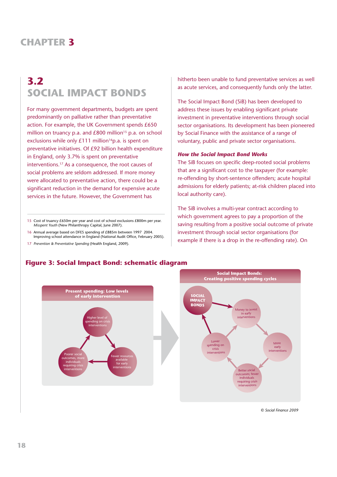# **3.2 SOCIAL IMPACT BONDS**

For many government departments, budgets are spent predominantly on palliative rather than preventative action. For example, the UK Government spends £650 million on truancy p.a. and  $£800$  million<sup>15</sup> p.a. on school exclusions while only £111 million<sup>16</sup>p.a. is spent on preventative initiatives. Of £92 billion health expenditure in England, only 3.7% is spent on preventative interventions.17 As a consequence, the root causes of social problems are seldom addressed. If more money were allocated to preventative action, there could be a significant reduction in the demand for expensive acute services in the future. However, the Government has

15 Cost of truancy £650m per year and cost of school exclusions £800m per year. *Misspent Youth* (New Philanthropy Capital, June 2007).

- 16 Annual average based on DFES spending of £885m between 1997 2004. Improving school attendance in England (National Audit Office, February 2005).
- 17 *Prevention & Preventative Spending* (Health England, 2009).

hitherto been unable to fund preventative services as well as acute services, and consequently funds only the latter.

The Social Impact Bond (SiB) has been developed to address these issues by enabling significant private investment in preventative interventions through social sector organisations. Its development has been pioneered by Social Finance with the assistance of a range of voluntary, public and private sector organisations.

#### *How the Social Impact Bond Works*

The SiB focuses on specific deep-rooted social problems that are a significant cost to the taxpayer (for example: re-offending by short-sentence offenders; acute hospital admissions for elderly patients; at-risk children placed into local authority care).

The SiB involves a multi-year contract according to which government agrees to pay a proportion of the saving resulting from a positive social outcome of private investment through social sector organisations (for example if there is a drop in the re-offending rate). On



#### **Figure 3: Social Impact Bond: schematic diagram**

*© Social Finance 2009*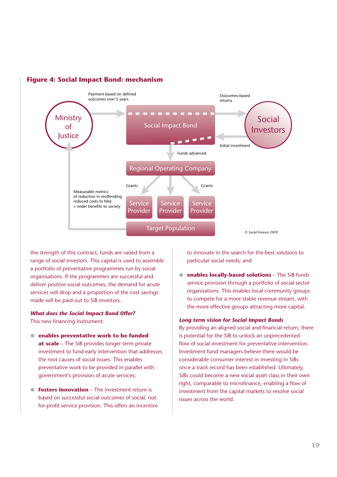

#### **Figure 4: Social Impact Bond: mechanism**

the strength of this contract, funds are raised from a range of social investors. This capital is used to assemble a portfolio of preventative programmes run by social organisations. If the programmes are successful and deliver positive social outcomes, the demand for acute services will drop and a proportion of the cost savings made will be paid out to SiB investors.

#### *What does the Social Impact Bond Offer?* This new financing instrument:

- ! **enables preventative work to be funded at scale** – The SiB provides longer term private investment to fund early intervention that addresses the root causes of social issues. This enables preventative work to be provided in parallel with government's provision of acute services;
- **fosters innovation** The investment return is based on successful social outcomes of social, notfor-profit service provision. This offers an incentive

to innovate in the search for the best solutions to particular social needs; and

 $\bullet$  **enables locally-based solutions** – The SiB funds service provision through a portfolio of social sector organisations. This enables local community groups to compete for a more stable revenue stream, with the more effective groups attracting more capital.

#### *Long term vision for Social Impact Bonds*

By providing an aligned social and financial return, there is potential for the SiB to unlock an unprecedented flow of social investment for preventative intervention. Investment fund managers believe there would be considerable consumer interest in investing in SiBs once a track record has been established. Ultimately, SiBs could become a new social asset class in their own right, comparable to microfinance, enabling a flow of investment from the capital markets to resolve social issues across the world.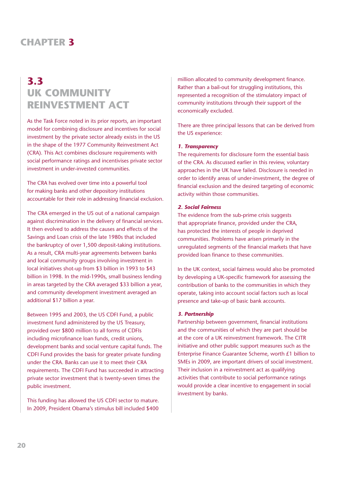## **3.3 UK COMMUNITY REINVESTMENT ACT**

As the Task Force noted in its prior reports, an important model for combining disclosure and incentives for social investment by the private sector already exists in the US in the shape of the 1977 Community Reinvestment Act (CRA). This Act combines disclosure requirements with social performance ratings and incentivises private sector investment in under-invested communities.

The CRA has evolved over time into a powerful tool for making banks and other depository institutions accountable for their role in addressing financial exclusion.

The CRA emerged in the US out of a national campaign against discrimination in the delivery of financial services. It then evolved to address the causes and effects of the Savings and Loan crisis of the late 1980s that included the bankruptcy of over 1,500 deposit-taking institutions. As a result, CRA multi-year agreements between banks and local community groups involving investment in local initiatives shot-up from \$3 billion in 1993 to \$43 billion in 1998. In the mid-1990s, small business lending in areas targeted by the CRA averaged \$33 billion a year, and community development investment averaged an additional \$17 billion a year.

Between 1995 and 2003, the US CDFI Fund, a public investment fund administered by the US Treasury, provided over \$800 million to all forms of CDFIs including microfinance loan funds, credit unions, development banks and social venture capital funds. The CDFI Fund provides the basis for greater private funding under the CRA. Banks can use it to meet their CRA requirements. The CDFI Fund has succeeded in attracting private sector investment that is twenty-seven times the public investment.

This funding has allowed the US CDFI sector to mature. In 2009, President Obama's stimulus bill included \$400 million allocated to community development finance. Rather than a bail-out for struggling institutions, this represented a recognition of the stimulatory impact of community institutions through their support of the economically excluded.

There are three principal lessons that can be derived from the US experience:

#### *1. Transparency*

The requirements for disclosure form the essential basis of the CRA. As discussed earlier in this review, voluntary approaches in the UK have failed. Disclosure is needed in order to identify areas of under-investment, the degree of financial exclusion and the desired targeting of economic activity within those communities.

#### *2. Social Fairness*

The evidence from the sub-prime crisis suggests that appropriate finance, provided under the CRA, has protected the interests of people in deprived communities. Problems have arisen primarily in the unregulated segments of the financial markets that have provided loan finance to these communities.

In the UK context, social fairness would also be promoted by developing a UK-specific framework for assessing the contribution of banks to the communities in which they operate, taking into account social factors such as local presence and take-up of basic bank accounts.

#### *3. Partnership*

Partnership between government, financial institutions and the communities of which they are part should be at the core of a UK reinvestment framework. The CITR initiative and other public support measures such as the Enterprise Finance Guarantee Scheme, worth £1 billion to SMEs in 2009, are important drivers of social investment. Their inclusion in a reinvestment act as qualifying activities that contribute to social performance ratings would provide a clear incentive to engagement in social investment by banks.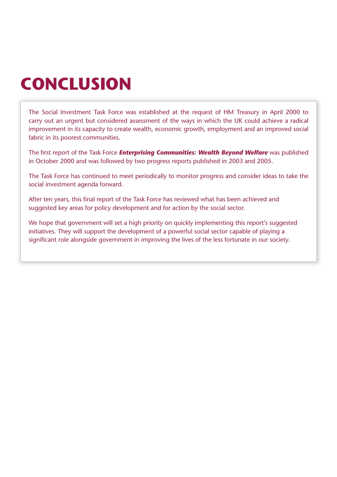# **CONCLUSION**

The Social Investment Task Force was established at the request of HM Treasury in April 2000 to carry out an urgent but considered assessment of the ways in which the UK could achieve a radical improvement in its capacity to create wealth, economic growth, employment and an improved social fabric in its poorest communities.

The first report of the Task Force *Enterprising Communities: Wealth Beyond Welfare* was published in October 2000 and was followed by two progress reports published in 2003 and 2005.

The Task Force has continued to meet periodically to monitor progress and consider ideas to take the social investment agenda forward.

After ten years, this final report of the Task Force has reviewed what has been achieved and suggested key areas for policy development and for action by the social sector.

We hope that government will set a high priority on quickly implementing this report's suggested initiatives. They will support the development of a powerful social sector capable of playing a significant role alongside government in improving the lives of the less fortunate in our society.